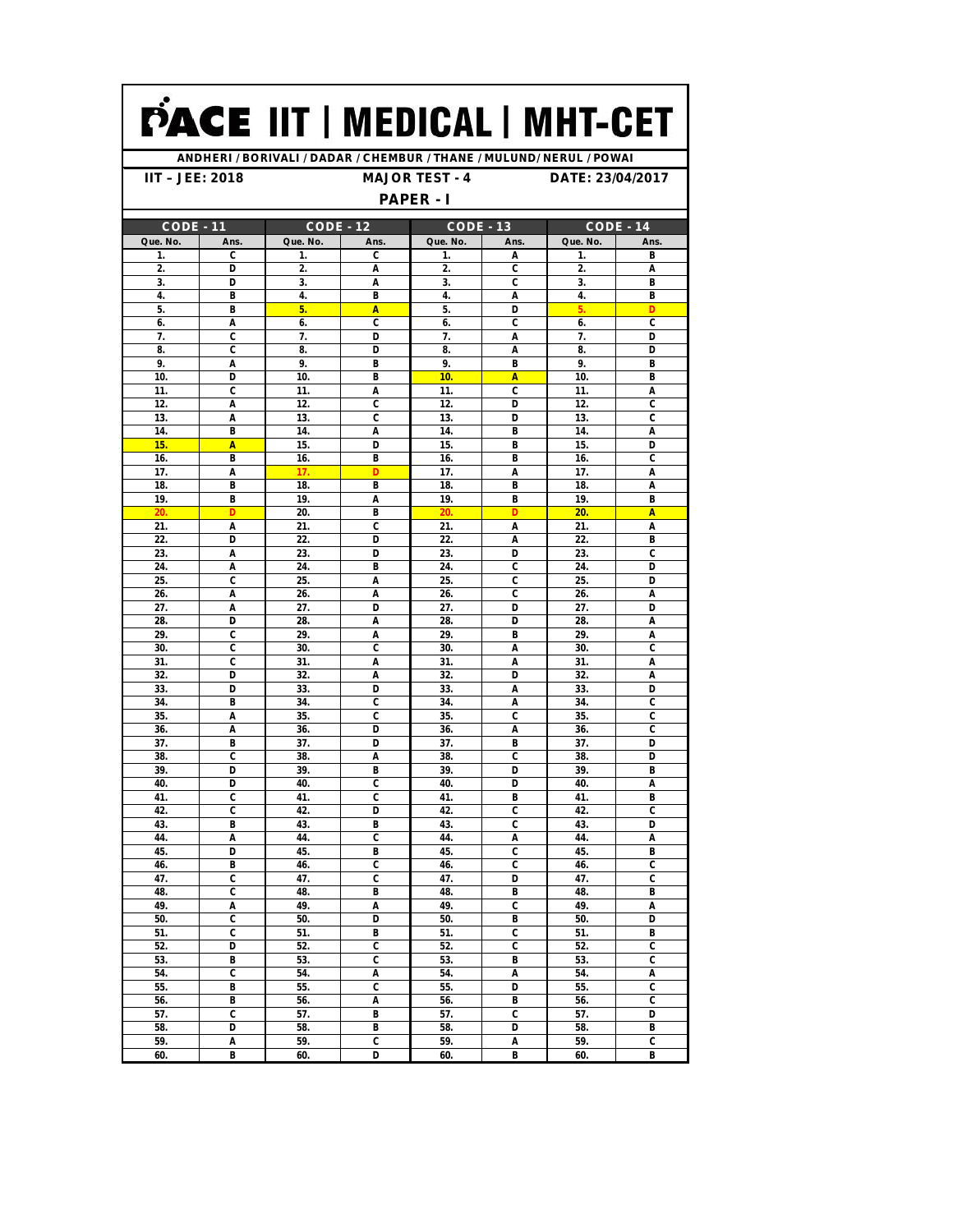## PACE IIT | MEDICAL | MHT-CET

**ANDHERI / BORIVALI / DADAR / CHEMBUR / THANE / MULUND/ NERUL / POWAI**

**IIT – JEE: 2018 MAJOR TEST - 4 DATE: 23/04/2017**

## **PAPER - I**

| <b>PAPER - I</b> |                           |                  |                           |             |                                |                  |                           |  |  |  |  |
|------------------|---------------------------|------------------|---------------------------|-------------|--------------------------------|------------------|---------------------------|--|--|--|--|
| <b>CODE - 11</b> |                           | <b>CODE - 12</b> |                           | $CODE - 13$ |                                | <b>CODE - 14</b> |                           |  |  |  |  |
| Que. No.         | Ans.                      | Que. No.         | Ans.                      | Que. No.    | Ans.                           | Que. No.         | Ans.                      |  |  |  |  |
| 1.               | C                         | 1.               | C                         | 1.          | A                              | 1.               | B                         |  |  |  |  |
| 2.               | D                         | 2.               | Α                         | 2.          | C                              | 2.               | Α                         |  |  |  |  |
| 3.               | D                         | 3.               | Α                         | 3.          | C                              | 3.               | B                         |  |  |  |  |
| 4.               | В                         | 4.               | B                         | 4.          | Α                              | 4.               | B                         |  |  |  |  |
| 5.               | B                         | 5.               | A                         | 5.          | D                              | 5.               | D                         |  |  |  |  |
| 6.               | Α                         | 6.               | C                         | 6.          | C                              | 6.               | C                         |  |  |  |  |
| 7.<br>8.         | C<br>C                    | 7.<br>8.         | D<br>D                    | 7.<br>8.    | A<br>A                         | 7.<br>8.         | D<br>D                    |  |  |  |  |
| 9.               | A                         | 9.               | B                         | 9.          | В                              | 9.               | В                         |  |  |  |  |
| 10.              | D                         | 10.              | В                         | 10.         | A                              | 10.              | B                         |  |  |  |  |
| 11.              | C                         | 11.              | Α                         | 11.         | C                              | 11.              | A                         |  |  |  |  |
| 12.              | Α                         | 12.              | C                         | 12.         | D                              | 12.              | C                         |  |  |  |  |
| 13.              | Α                         | 13.              | C                         | 13.         | D                              | 13.              | C                         |  |  |  |  |
| 14.              | B                         | 14.              | A                         | 14.         | В                              | 14.              | A                         |  |  |  |  |
| 15.              | A                         | 15.              | D                         | 15.         | B                              | 15.              | D                         |  |  |  |  |
| 16.              | B                         | 16.              | B                         | 16.         | B                              | 16.              | C                         |  |  |  |  |
| 17.              | Α                         | 17.              | D                         | 17.         | A                              | 17.              | A                         |  |  |  |  |
| 18.              | В                         | 18.              | B                         | 18.         | B                              | 18.              | A                         |  |  |  |  |
| 19.              | В                         | 19.              | Α                         | 19.         | B                              | 19.              | В                         |  |  |  |  |
| 20.              | D                         | 20.              | B                         | 20.         | D                              | 20.              | A                         |  |  |  |  |
| 21.              | A                         | 21.              | C                         | 21.         | A                              | 21.              | A                         |  |  |  |  |
| 22.              | D                         | 22.              | D                         | 22.         | A                              | 22.              | B                         |  |  |  |  |
| 23.              | A                         | 23.              | D                         | 23.         | D                              | 23.              | C                         |  |  |  |  |
| 24.              | Α                         | 24.              | B                         | 24.         | C                              | 24.              | D                         |  |  |  |  |
| 25.              | C                         | 25.              | A                         | 25.         | C                              | 25.              | D                         |  |  |  |  |
| 26.              | A                         | 26.              | A                         | 26.         | C                              | 26.              | Α                         |  |  |  |  |
| 27.              | Α                         | 27.              | D                         | 27.         | D                              | 27.              | D                         |  |  |  |  |
| 28.              | D                         | 28.              | Α                         | 28.         | D                              | 28.              | Α                         |  |  |  |  |
| 29.              | C                         | 29.              | Α                         | 29.         | B                              | 29.              | A                         |  |  |  |  |
| 30.              | C<br>C                    | 30.              | C                         | 30.         | Α                              | 30.              | C                         |  |  |  |  |
| 31.<br>32.       | D                         | 31.<br>32.       | Α<br>Α                    | 31.<br>32.  | A<br>D                         | 31.<br>32.       | Α                         |  |  |  |  |
| 33.              | D                         | 33.              | D                         | 33.         | A                              | 33.              | Α<br>D                    |  |  |  |  |
| 34.              | B                         | 34.              | C                         | 34.         | A                              | 34.              | C                         |  |  |  |  |
| 35.              | Α                         | 35.              | C                         | 35.         | C                              | 35.              | C                         |  |  |  |  |
| 36.              | A                         | 36.              | D                         | 36.         | Α                              | 36.              | C                         |  |  |  |  |
| 37.              | B                         | 37.              | D                         | 37.         | В                              | 37.              | D                         |  |  |  |  |
| 38.              | C                         | 38.              | Α                         | 38.         | C                              | 38.              | D                         |  |  |  |  |
| 39.              | D                         | 39.              | B                         | 39.         | D                              | 39.              | B                         |  |  |  |  |
| 40.              | D                         | 40.              | C                         | 40.         | D                              | 40.              | A                         |  |  |  |  |
| 41.              | C                         | 41.              | C                         | 41.         | B                              | 41.              | B                         |  |  |  |  |
| 42.              | C                         | 42.              | D                         | 42.         | C                              | 42.              | C                         |  |  |  |  |
| 43.              | В                         | 43.              | B                         | 43.         | C                              | 43.              | D                         |  |  |  |  |
| 44.              | A                         | 44.              | C                         | 44.         | A                              | 44.              | A                         |  |  |  |  |
| 45.              | D                         | 45.              | B                         | 45.         | C                              | 45.              | B                         |  |  |  |  |
| 46.              | B                         | 46.              | C                         | 46.         | C                              | 46.              | C                         |  |  |  |  |
| 47.              | C                         | 47.              | C                         | 47.         | D                              | 47.              | C                         |  |  |  |  |
| 48               | C                         | 48.              | B                         | 48          | B                              | 48.              | B                         |  |  |  |  |
| 49.              | Α                         | 49.              | Α                         | 49.         | C                              | 49.              | Α                         |  |  |  |  |
| 50.              | C<br>C                    | 50.              | D                         | 50.         | В                              | 50.              | D                         |  |  |  |  |
| 51.<br>52.       | D                         | 51.<br>52.       | В<br>C                    | 51.<br>52.  | C<br>$\overline{\mathfrak{c}}$ | 51.<br>52.       | В<br>C                    |  |  |  |  |
| 53.              | B                         | 53.              | C                         | 53.         | B                              | 53.              | C                         |  |  |  |  |
| 54.              | $\overline{\mathfrak{c}}$ | 54.              | Α                         | 54.         | A                              | 54.              | $\overline{A}$            |  |  |  |  |
| 55.              | B                         | 55.              | $\overline{\mathfrak{c}}$ | 55.         | D                              | 55.              | C                         |  |  |  |  |
| 56.              | В                         | 56.              | Α                         | 56.         | B                              | 56.              | $\overline{\mathfrak{c}}$ |  |  |  |  |
| 57.              | $\overline{\mathfrak{c}}$ | 57.              | B                         | 57.         | $\overline{\mathfrak{c}}$      | 57.              | D                         |  |  |  |  |
| 58.              | D                         | 58.              | В                         | 58.         | D                              | 58.              | B                         |  |  |  |  |
| 59.              | A                         | 59.              | C                         | 59.         | A                              | 59.              | C                         |  |  |  |  |
| 60.              | B                         | 60.              | D                         | 60.         | B                              | 60.              | В                         |  |  |  |  |
|                  |                           |                  |                           |             |                                |                  |                           |  |  |  |  |